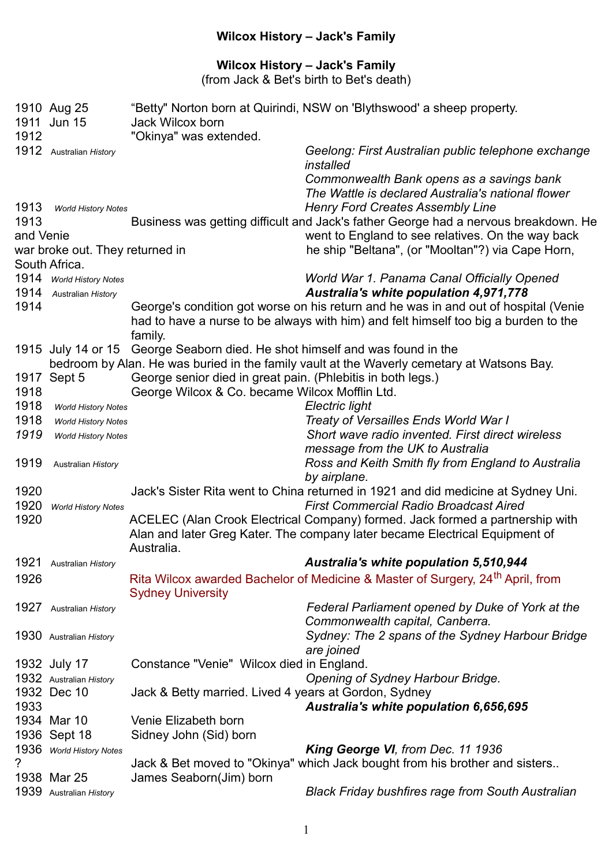## **Wilcox History – Jack's Family**

## **Wilcox History – Jack's Family**

(from Jack & Bet's birth to Bet's death)

|           | 1910 Aug 25<br>1911 Jun 15      | Jack Wilcox born                                            | "Betty" Norton born at Quirindi, NSW on 'Blythswood' a sheep property.                     |
|-----------|---------------------------------|-------------------------------------------------------------|--------------------------------------------------------------------------------------------|
| 1912      |                                 | "Okinya" was extended.                                      |                                                                                            |
|           | 1912 Australian History         |                                                             | Geelong: First Australian public telephone exchange<br>installed                           |
|           |                                 |                                                             | Commonwealth Bank opens as a savings bank                                                  |
|           |                                 |                                                             | The Wattle is declared Australia's national flower                                         |
| 1913      | <b>World History Notes</b>      |                                                             | <b>Henry Ford Creates Assembly Line</b>                                                    |
| 1913      |                                 |                                                             | Business was getting difficult and Jack's father George had a nervous breakdown. He        |
| and Venie |                                 |                                                             | went to England to see relatives. On the way back                                          |
|           | war broke out. They returned in |                                                             | he ship "Beltana", (or "Mooltan"?) via Cape Horn,                                          |
|           | South Africa.                   |                                                             |                                                                                            |
| 1914      | <b>World History Notes</b>      |                                                             | World War 1. Panama Canal Officially Opened                                                |
| 1914      | Australian History              |                                                             | Australia's white population 4,971,778                                                     |
| 1914      |                                 |                                                             | George's condition got worse on his return and he was in and out of hospital (Venie        |
|           |                                 |                                                             | had to have a nurse to be always with him) and felt himself too big a burden to the        |
|           |                                 | family.                                                     |                                                                                            |
|           | 1915 July 14 or 15              | George Seaborn died. He shot himself and was found in the   |                                                                                            |
|           |                                 |                                                             | bedroom by Alan. He was buried in the family vault at the Waverly cemetary at Watsons Bay. |
| 1917      | Sept 5                          | George senior died in great pain. (Phlebitis in both legs.) |                                                                                            |
| 1918      |                                 | George Wilcox & Co. became Wilcox Mofflin Ltd.              |                                                                                            |
| 1918      | <b>World History Notes</b>      |                                                             | Electric light                                                                             |
| 1918      | <b>World History Notes</b>      |                                                             | Treaty of Versailles Ends World War I                                                      |
| 1919      | <b>World History Notes</b>      |                                                             | Short wave radio invented. First direct wireless                                           |
|           |                                 |                                                             | message from the UK to Australia                                                           |
| 1919      | Australian History              |                                                             | Ross and Keith Smith fly from England to Australia<br>by airplane.                         |
| 1920      |                                 |                                                             | Jack's Sister Rita went to China returned in 1921 and did medicine at Sydney Uni.          |
| 1920      | <b>World History Notes</b>      |                                                             | <b>First Commercial Radio Broadcast Aired</b>                                              |
| 1920      |                                 |                                                             | ACELEC (Alan Crook Electrical Company) formed. Jack formed a partnership with              |
|           |                                 | Australia.                                                  | Alan and later Greg Kater. The company later became Electrical Equipment of                |
| 1921      | Australian History              |                                                             | <b>Australia's white population 5,510,944</b>                                              |
| 1926      |                                 |                                                             | Rita Wilcox awarded Bachelor of Medicine & Master of Surgery, 24 <sup>th</sup> April, from |
|           |                                 | <b>Sydney University</b>                                    |                                                                                            |
| 1927      | Australian History              |                                                             | Federal Parliament opened by Duke of York at the                                           |
|           |                                 |                                                             | Commonwealth capital, Canberra.                                                            |
|           | 1930 Australian History         |                                                             | Sydney: The 2 spans of the Sydney Harbour Bridge                                           |
|           |                                 |                                                             | are joined                                                                                 |
|           | 1932 July 17                    | Constance "Venie" Wilcox died in England.                   |                                                                                            |
|           | 1932 Australian History         |                                                             | Opening of Sydney Harbour Bridge.                                                          |
|           | 1932 Dec 10                     | Jack & Betty married. Lived 4 years at Gordon, Sydney       |                                                                                            |
| 1933      |                                 |                                                             | Australia's white population 6,656,695                                                     |
|           | 1934 Mar 10                     | Venie Elizabeth born                                        |                                                                                            |
|           | 1936 Sept 18                    | Sidney John (Sid) born                                      |                                                                                            |
|           | 1936 World History Notes        |                                                             | King George VI, from Dec. 11 1936                                                          |
| ?         |                                 |                                                             | Jack & Bet moved to "Okinya" which Jack bought from his brother and sisters                |
|           | 1938 Mar 25                     | James Seaborn(Jim) born                                     |                                                                                            |
|           | 1939 Australian History         |                                                             | <b>Black Friday bushfires rage from South Australian</b>                                   |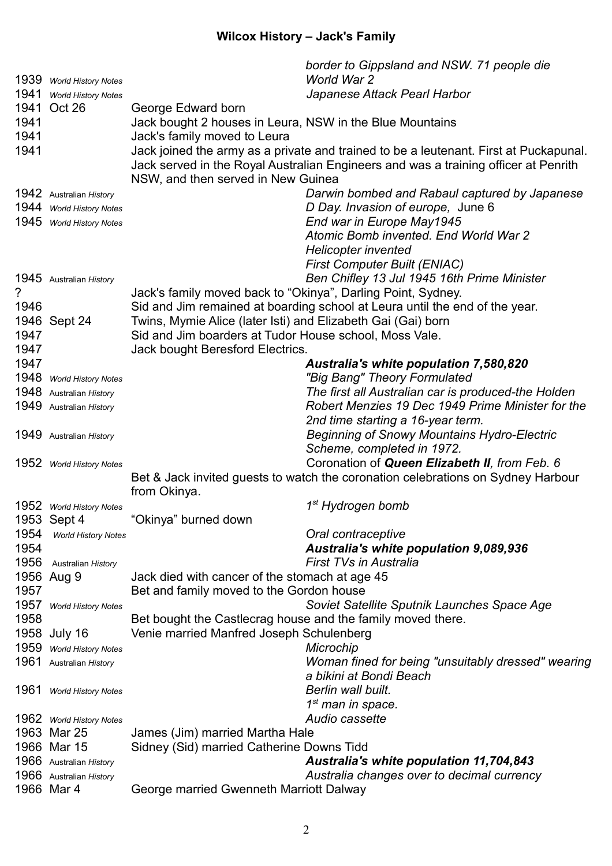## **Wilcox History – Jack's Family**

|      |                            | border to Gippsland and NSW. 71 people die                                            |  |
|------|----------------------------|---------------------------------------------------------------------------------------|--|
|      | 1939 World History Notes   | World War 2                                                                           |  |
| 1941 | <b>World History Notes</b> | Japanese Attack Pearl Harbor                                                          |  |
|      | 1941 Oct 26                | George Edward born                                                                    |  |
| 1941 |                            | Jack bought 2 houses in Leura, NSW in the Blue Mountains                              |  |
| 1941 |                            | Jack's family moved to Leura                                                          |  |
| 1941 |                            | Jack joined the army as a private and trained to be a leutenant. First at Puckapunal. |  |
|      |                            | Jack served in the Royal Australian Engineers and was a training officer at Penrith   |  |
|      |                            | NSW, and then served in New Guinea                                                    |  |
|      | 1942 Australian History    | Darwin bombed and Rabaul captured by Japanese                                         |  |
|      | 1944 World History Notes   | D Day. Invasion of europe, June 6                                                     |  |
|      | 1945 World History Notes   | End war in Europe May1945                                                             |  |
|      |                            | Atomic Bomb invented. End World War 2                                                 |  |
|      |                            | <b>Helicopter invented</b>                                                            |  |
|      |                            | <b>First Computer Built (ENIAC)</b>                                                   |  |
|      | 1945 Australian History    | Ben Chifley 13 Jul 1945 16th Prime Minister                                           |  |
| ?    |                            | Jack's family moved back to "Okinya", Darling Point, Sydney.                          |  |
| 1946 |                            | Sid and Jim remained at boarding school at Leura until the end of the year.           |  |
|      | 1946 Sept 24               | Twins, Mymie Alice (later Isti) and Elizabeth Gai (Gai) born                          |  |
| 1947 |                            | Sid and Jim boarders at Tudor House school, Moss Vale.                                |  |
| 1947 |                            | Jack bought Beresford Electrics.                                                      |  |
| 1947 |                            | Australia's white population 7,580,820                                                |  |
|      | 1948 World History Notes   | "Big Bang" Theory Formulated                                                          |  |
|      | 1948 Australian History    | The first all Australian car is produced-the Holden                                   |  |
|      | 1949 Australian History    | Robert Menzies 19 Dec 1949 Prime Minister for the                                     |  |
|      |                            | 2nd time starting a 16-year term.                                                     |  |
|      | 1949 Australian History    | <b>Beginning of Snowy Mountains Hydro-Electric</b>                                    |  |
|      |                            | Scheme, completed in 1972.                                                            |  |
|      | 1952 World History Notes   | Coronation of Queen Elizabeth II, from Feb. 6                                         |  |
|      |                            | Bet & Jack invited guests to watch the coronation celebrations on Sydney Harbour      |  |
|      |                            | from Okinya.                                                                          |  |
|      | 1952 World History Notes   | 1 <sup>st</sup> Hydrogen bomb                                                         |  |
|      | 1953 Sept 4                | "Okinya" burned down                                                                  |  |
|      | 1954 World History Notes   | Oral contraceptive                                                                    |  |
| 1954 |                            | <b>Australia's white population 9,089,936</b>                                         |  |
| 1956 | Australian History         | <b>First TVs in Australia</b>                                                         |  |
|      | 1956 Aug 9                 | Jack died with cancer of the stomach at age 45                                        |  |
| 1957 |                            | Bet and family moved to the Gordon house                                              |  |
|      | 1957 World History Notes   | Soviet Satellite Sputnik Launches Space Age                                           |  |
| 1958 |                            | Bet bought the Castlecrag house and the family moved there.                           |  |
|      | 1958 July 16               | Venie married Manfred Joseph Schulenberg                                              |  |
|      | 1959 World History Notes   | Microchip                                                                             |  |
|      | 1961 Australian History    | Woman fined for being "unsuitably dressed" wearing                                    |  |
|      |                            | a bikini at Bondi Beach                                                               |  |
|      | 1961 World History Notes   | Berlin wall built.                                                                    |  |
|      |                            | $1st$ man in space.                                                                   |  |
|      | 1962 World History Notes   | Audio cassette                                                                        |  |
|      | 1963 Mar 25                | James (Jim) married Martha Hale                                                       |  |
|      | 1966 Mar 15                | Sidney (Sid) married Catherine Downs Tidd                                             |  |
|      | 1966 Australian History    | Australia's white population 11,704,843                                               |  |
|      | 1966 Australian History    | Australia changes over to decimal currency                                            |  |
|      | 1966 Mar 4                 | George married Gwenneth Marriott Dalway                                               |  |